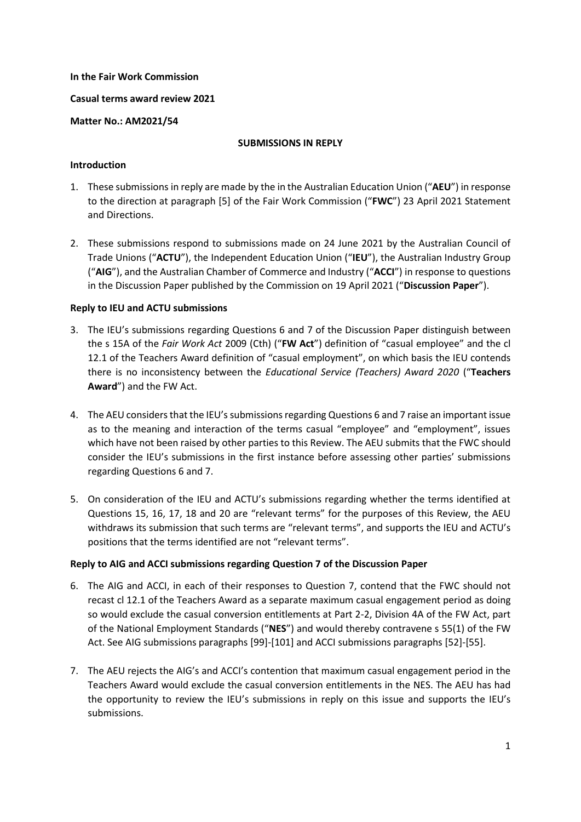# **In the Fair Work Commission**

# **Casual terms award review 2021**

### **Matter No.: AM2021/54**

### **SUBMISSIONS IN REPLY**

# **Introduction**

- 1. These submissions in reply are made by the in the Australian Education Union ("**AEU**") in response to the direction at paragraph [5] of the Fair Work Commission ("**FWC**") 23 April 2021 Statement and Directions.
- 2. These submissions respond to submissions made on 24 June 2021 by the Australian Council of Trade Unions ("**ACTU**"), the Independent Education Union ("**IEU**"), the Australian Industry Group ("**AIG**"), and the Australian Chamber of Commerce and Industry ("**ACCI**") in response to questions in the Discussion Paper published by the Commission on 19 April 2021 ("**Discussion Paper**").

# **Reply to IEU and ACTU submissions**

- 3. The IEU's submissions regarding Questions 6 and 7 of the Discussion Paper distinguish between the s 15A of the *Fair Work Act* 2009 (Cth) ("**FW Act**") definition of "casual employee" and the cl 12.1 of the Teachers Award definition of "casual employment", on which basis the IEU contends there is no inconsistency between the *Educational Service (Teachers) Award 2020* ("**Teachers Award**") and the FW Act.
- 4. The AEU considers that the IEU's submissions regarding Questions 6 and 7 raise an important issue as to the meaning and interaction of the terms casual "employee" and "employment", issues which have not been raised by other parties to this Review. The AEU submits that the FWC should consider the IEU's submissions in the first instance before assessing other parties' submissions regarding Questions 6 and 7.
- 5. On consideration of the IEU and ACTU's submissions regarding whether the terms identified at Questions 15, 16, 17, 18 and 20 are "relevant terms" for the purposes of this Review, the AEU withdraws its submission that such terms are "relevant terms", and supports the IEU and ACTU's positions that the terms identified are not "relevant terms".

# **Reply to AIG and ACCI submissions regarding Question 7 of the Discussion Paper**

- 6. The AIG and ACCI, in each of their responses to Question 7, contend that the FWC should not recast cl 12.1 of the Teachers Award as a separate maximum casual engagement period as doing so would exclude the casual conversion entitlements at Part 2-2, Division 4A of the FW Act, part of the National Employment Standards ("**NES**") and would thereby contravene s 55(1) of the FW Act. See AIG submissions paragraphs [99]-[101] and ACCI submissions paragraphs [52]-[55].
- 7. The AEU rejects the AIG's and ACCI's contention that maximum casual engagement period in the Teachers Award would exclude the casual conversion entitlements in the NES. The AEU has had the opportunity to review the IEU's submissions in reply on this issue and supports the IEU's submissions.